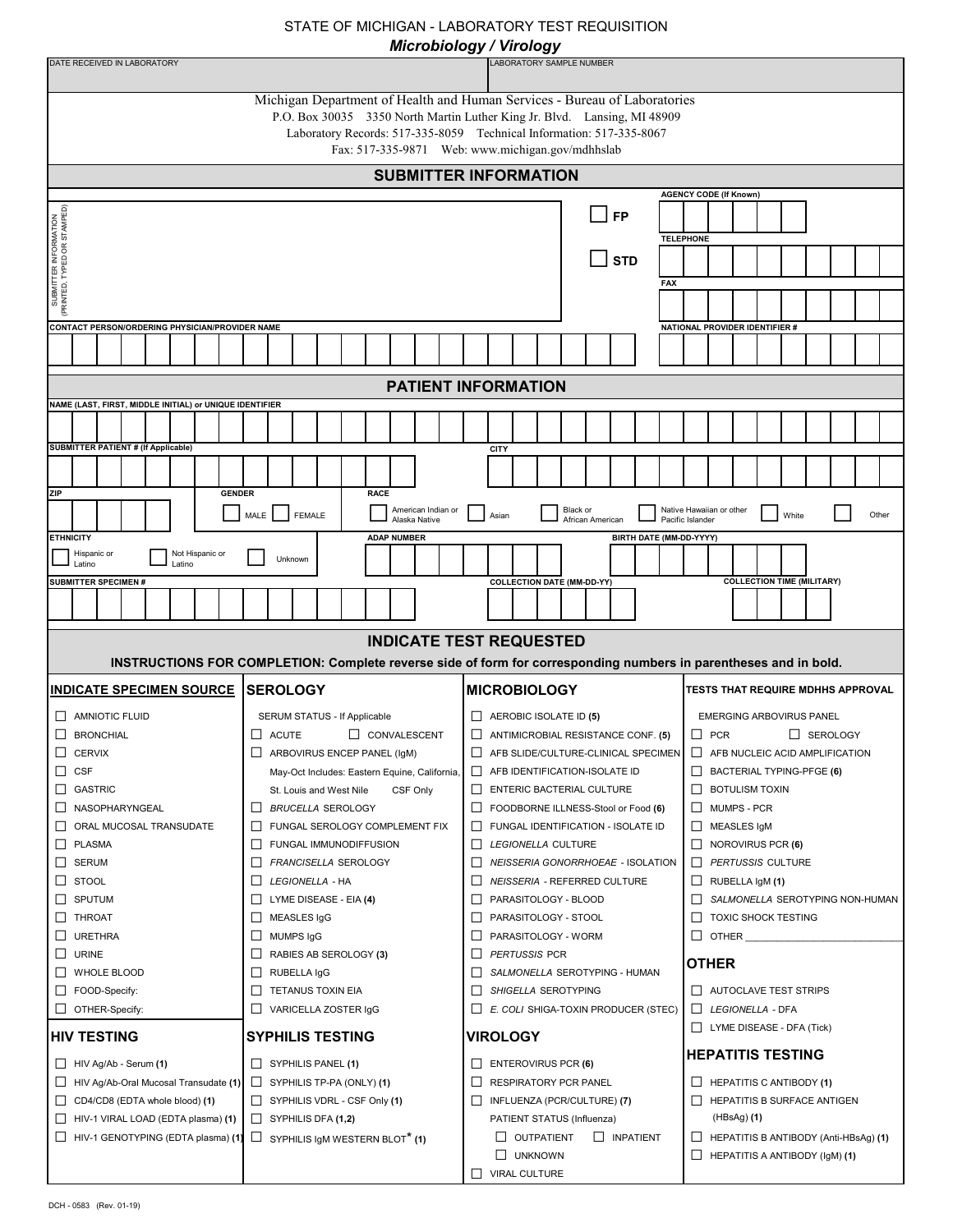## STATE OF MICHIGAN - LABORATORY TEST REQUISITION

|  | crobiology / Virology |
|--|-----------------------|
|--|-----------------------|

| Microbiology / Virology                                                                                          |                                                          |                                                                          |                                                  |  |
|------------------------------------------------------------------------------------------------------------------|----------------------------------------------------------|--------------------------------------------------------------------------|--------------------------------------------------|--|
| DATE RECEIVED IN LABORATORY<br>LABORATORY SAMPLE NUMBER                                                          |                                                          |                                                                          |                                                  |  |
| Michigan Department of Health and Human Services - Bureau of Laboratories                                        |                                                          |                                                                          |                                                  |  |
|                                                                                                                  |                                                          | P.O. Box 30035 3350 North Martin Luther King Jr. Blvd. Lansing, MI 48909 |                                                  |  |
|                                                                                                                  |                                                          | Laboratory Records: 517-335-8059 Technical Information: 517-335-8067     |                                                  |  |
| Fax: 517-335-9871 Web: www.michigan.gov/mdhhslab                                                                 |                                                          |                                                                          |                                                  |  |
|                                                                                                                  |                                                          | <b>SUBMITTER INFORMATION</b>                                             |                                                  |  |
|                                                                                                                  |                                                          |                                                                          | <b>AGENCY CODE (If Known)</b>                    |  |
|                                                                                                                  |                                                          | <b>FP</b>                                                                |                                                  |  |
|                                                                                                                  |                                                          | <b>TELEPHONE</b>                                                         |                                                  |  |
|                                                                                                                  |                                                          | <b>STD</b>                                                               |                                                  |  |
| SUBMITTER INFORMATION<br>(PRINTED, TYPED OR STAMPED)                                                             |                                                          | <b>FAX</b>                                                               |                                                  |  |
|                                                                                                                  |                                                          |                                                                          |                                                  |  |
|                                                                                                                  |                                                          |                                                                          |                                                  |  |
| CONTACT PERSON/ORDERING PHYSICIAN/PROVIDER NAME                                                                  |                                                          |                                                                          | NATIONAL PROVIDER IDENTIFIER #                   |  |
|                                                                                                                  |                                                          |                                                                          |                                                  |  |
|                                                                                                                  |                                                          | <b>PATIENT INFORMATION</b>                                               |                                                  |  |
| NAME (LAST, FIRST, MIDDLE INITIAL) or UNIQUE IDENTIFIER                                                          |                                                          |                                                                          |                                                  |  |
|                                                                                                                  |                                                          |                                                                          |                                                  |  |
| <b>SUBMITTER PATIENT # (If Applicable)</b>                                                                       |                                                          | CITY                                                                     |                                                  |  |
|                                                                                                                  |                                                          |                                                                          |                                                  |  |
|                                                                                                                  |                                                          |                                                                          |                                                  |  |
| <b>ZIP</b><br><b>GENDER</b>                                                                                      | <b>RACE</b><br>American Indian or                        | Black or                                                                 | Native Hawaiian or other                         |  |
| FEMALE<br>MALE<br>White<br>Other<br>Asian<br>Alaska Native<br>African American<br>Pacific Islander               |                                                          |                                                                          |                                                  |  |
| <b>ETHNICITY</b>                                                                                                 | <b>ADAP NUMBER</b>                                       | BIRTH DATE (MM-DD-YYYY)                                                  |                                                  |  |
| Not Hispanic or<br>Hispanic or<br>Latino<br>Latino                                                               | Unknown                                                  |                                                                          |                                                  |  |
| <b>SUBMITTER SPECIMEN #</b>                                                                                      |                                                          | <b>COLLECTION DATE (MM-DD-YY)</b>                                        | <b>COLLECTION TIME (MILITARY)</b>                |  |
|                                                                                                                  |                                                          |                                                                          |                                                  |  |
|                                                                                                                  |                                                          |                                                                          |                                                  |  |
|                                                                                                                  |                                                          | <b>INDICATE TEST REQUESTED</b>                                           |                                                  |  |
| INSTRUCTIONS FOR COMPLETION: Complete reverse side of form for corresponding numbers in parentheses and in bold. |                                                          |                                                                          |                                                  |  |
| <b>INDICATE SPECIMEN SOURCE</b>                                                                                  | <b>ISEROLOGY</b>                                         | <b>MICROBIOLOGY</b>                                                      | TESTS THAT REQUIRE MDHHS APPROVAL                |  |
| <b>AMNIOTIC FLUID</b>                                                                                            | SERUM STATUS - If Applicable                             | AEROBIC ISOLATE ID (5)                                                   | <b>EMERGING ARBOVIRUS PANEL</b>                  |  |
| $\Box$<br><b>BRONCHIAL</b>                                                                                       | $\Box$ ACUTE<br>CONVALESCENT                             | ANTIMICROBIAL RESISTANCE CONF. (5)<br>□                                  | $\Box$ PCR<br>SEROLOGY                           |  |
| ш<br><b>CERVIX</b>                                                                                               | ARBOVIRUS ENCEP PANEL (IgM)                              | AFB SLIDE/CULTURE-CLINICAL SPECIMEN                                      | П<br>AFB NUCLEIC ACID AMPLIFICATION              |  |
| <b>CSF</b><br>ш                                                                                                  | May-Oct Includes: Eastern Equine, California,            | AFB IDENTIFICATION-ISOLATE ID<br>⊔                                       | $\Box$ BACTERIAL TYPING-PFGE (6)                 |  |
| <b>GASTRIC</b><br>ப                                                                                              | CSF Only<br>St. Louis and West Nile                      | ENTERIC BACTERIAL CULTURE                                                | <b>BOTULISM TOXIN</b><br>$\Box$                  |  |
| ப<br>NASOPHARYNGEAL                                                                                              | <b>BRUCELLA SEROLOGY</b><br>$\Box$                       | ш<br>FOODBORNE ILLNESS-Stool or Food (6)                                 | П<br><b>MUMPS - PCR</b>                          |  |
| ORAL MUCOSAL TRANSUDATE<br>ப<br>□<br><b>PLASMA</b>                                                               | FUNGAL SEROLOGY COMPLEMENT FIX<br>FUNGAL IMMUNODIFFUSION | FUNGAL IDENTIFICATION - ISOLATE ID<br>ш<br>LEGIONELLA CULTURE            | MEASLES IgM                                      |  |
| ⊔<br><b>SERUM</b>                                                                                                | FRANCISELLA SEROLOGY                                     | NEISSERIA GONORRHOEAE - ISOLATION<br>П                                   | ⊔<br>NOROVIRUS PCR (6)<br>□<br>PERTUSSIS CULTURE |  |
| <b>STOOL</b><br>⊔                                                                                                | LEGIONELLA - HA                                          | NEISSERIA - REFERRED CULTURE                                             | $\Box$ RUBELLA IgM (1)                           |  |
| □<br>SPUTUM                                                                                                      | $\Box$ LYME DISEASE - EIA (4)                            | PARASITOLOGY - BLOOD<br>⊔                                                | □<br>SALMONELLA SEROTYPING NON-HUMAN             |  |
| <b>THROAT</b><br>ш                                                                                               | $\Box$ MEASLES IgG                                       | $\Box$<br>PARASITOLOGY - STOOL                                           | $\Box$ TOXIC SHOCK TESTING                       |  |
| □<br><b>URETHRA</b>                                                                                              | $\Box$ MUMPS IgG                                         | PARASITOLOGY - WORM<br>$\Box$                                            | <b>OTHER</b><br>Ш                                |  |
| □<br><b>URINE</b>                                                                                                | $\Box$ RABIES AB SEROLOGY (3)                            | PERTUSSIS PCR<br>$\Box$                                                  | <b>OTHER</b>                                     |  |
| WHOLE BLOOD<br>ΙI                                                                                                | $\Box$ RUBELLA IgG                                       | SALMONELLA SEROTYPING - HUMAN<br>$\mathsf{L}$                            |                                                  |  |
| ப<br>FOOD-Specify:                                                                                               | $\Box$ TETANUS TOXIN EIA                                 | ш<br>SHIGELLA SEROTYPING                                                 | $\Box$ AUTOCLAVE TEST STRIPS                     |  |
| OTHER-Specify:<br>ப                                                                                              | □ VARICELLA ZOSTER IgG                                   | E. COLI SHIGA-TOXIN PRODUCER (STEC)                                      | LEGIONELLA - DFA<br>LYME DISEASE - DFA (Tick)    |  |
| <b>HIV TESTING</b>                                                                                               | <b>SYPHILIS TESTING</b>                                  | <b>VIROLOGY</b>                                                          |                                                  |  |
| ப<br>HIV Ag/Ab - Serum (1)                                                                                       | $\Box$ SYPHILIS PANEL (1)                                | $\Box$ ENTEROVIRUS PCR (6)                                               | <b>HEPATITIS TESTING</b>                         |  |
| HIV Ag/Ab-Oral Mucosal Transudate (1)<br>ப                                                                       | SYPHILIS TP-PA (ONLY) (1)                                | RESPIRATORY PCR PANEL<br>$\Box$                                          | $\Box$ HEPATITIS C ANTIBODY (1)                  |  |
| CD4/CD8 (EDTA whole blood) (1)<br>ப                                                                              | $\Box$ SYPHILIS VDRL - CSF Only (1)                      | INFLUENZA (PCR/CULTURE) (7)<br>ш                                         | HEPATITIS B SURFACE ANTIGEN<br>$\Box$            |  |
| HIV-1 VIRAL LOAD (EDTA plasma) (1)<br>ப                                                                          | $\Box$ SYPHILIS DFA (1,2)                                | PATIENT STATUS (Influenza)                                               | (HBsAg) ( <b>1)</b>                              |  |
| $\Box$<br>HIV-1 GENOTYPING (EDTA plasma) (1)                                                                     | $\Box$ SYPHILIS IgM WESTERN BLOT <sup>*</sup> (1)        | $\Box$ OUTPATIENT<br>$\Box$ INPATIENT                                    | $\Box$ HEPATITIS B ANTIBODY (Anti-HBsAg) (1)     |  |
|                                                                                                                  |                                                          | UNKNOWN                                                                  | $\Box$ HEPATITIS A ANTIBODY (IgM) (1)            |  |
|                                                                                                                  |                                                          | VIRAL CULTURE<br>П                                                       |                                                  |  |

DCH - 0583 (Rev. 01-19)